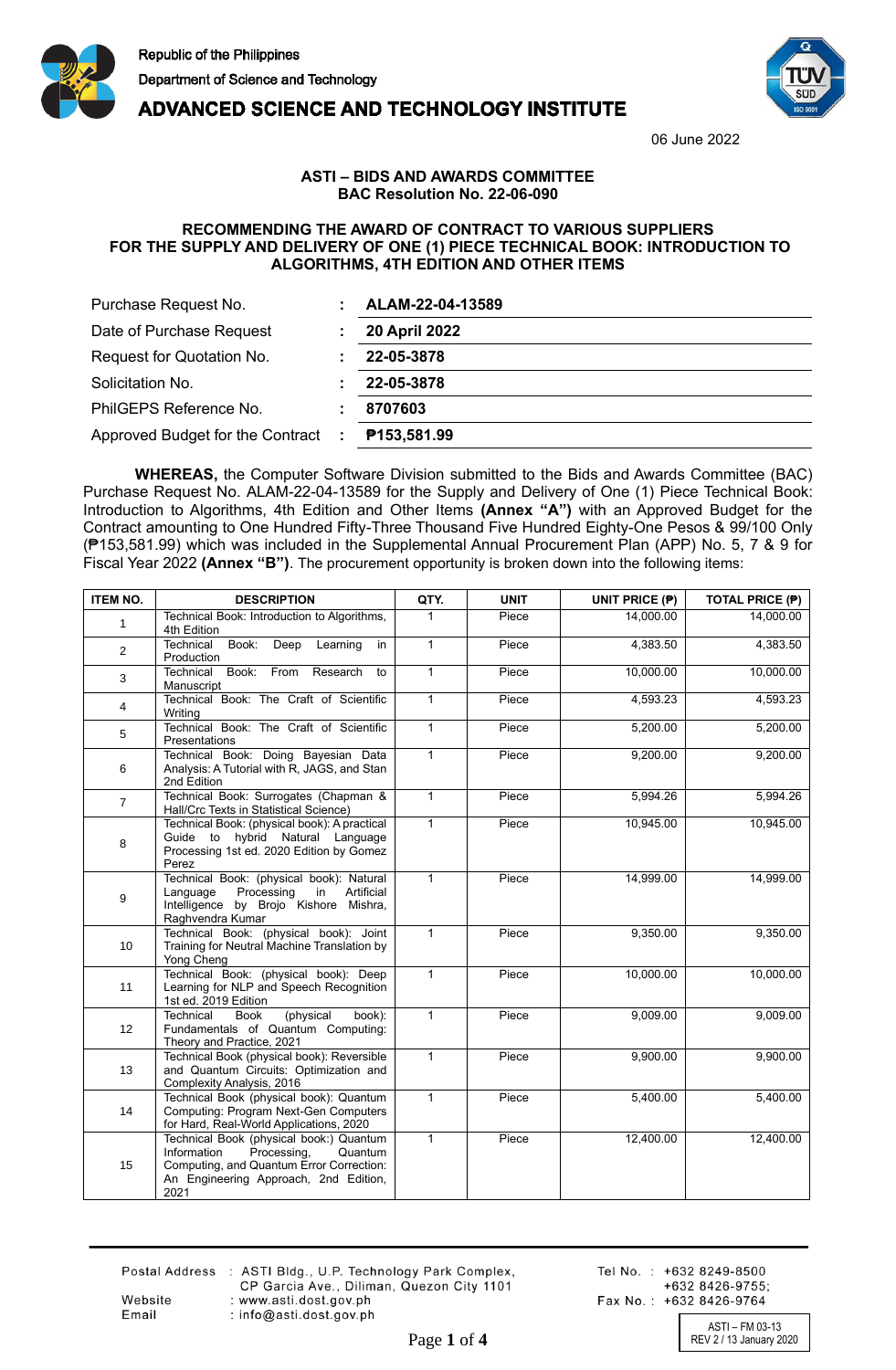



**ADVANCED SCIENCE AND TECHNOLOGY INSTITUTE** 

06 June 2022

## **ASTI – BIDS AND AWARDS COMMITTEE BAC Resolution No. 22-06-090**

## **RECOMMENDING THE AWARD OF CONTRACT TO VARIOUS SUPPLIERS FOR THE SUPPLY AND DELIVERY OF ONE (1) PIECE TECHNICAL BOOK: INTRODUCTION TO ALGORITHMS, 4TH EDITION AND OTHER ITEMS**

| Purchase Request No.               |  | ALAM-22-04-13589     |  |
|------------------------------------|--|----------------------|--|
| Date of Purchase Request           |  | <b>20 April 2022</b> |  |
| Request for Quotation No.          |  | 22-05-3878           |  |
| Solicitation No.                   |  | 22-05-3878           |  |
| PhilGEPS Reference No.             |  | 8707603              |  |
| Approved Budget for the Contract : |  | P153,581.99          |  |

**WHEREAS,** the Computer Software Division submitted to the Bids and Awards Committee (BAC) Purchase Request No. ALAM-22-04-13589 for the Supply and Delivery of One (1) Piece Technical Book: Introduction to Algorithms, 4th Edition and Other Items **(Annex "A")** with an Approved Budget for the Contract amounting to One Hundred Fifty-Three Thousand Five Hundred Eighty-One Pesos & 99/100 Only (₱153,581.99) which was included in the Supplemental Annual Procurement Plan (APP) No. 5, 7 & 9 for Fiscal Year 2022 **(Annex "B")**. The procurement opportunity is broken down into the following items:

| <b>ITEM NO.</b> | <b>DESCRIPTION</b>                                                                                                                                                            | QTY.         | <b>UNIT</b> | UNIT PRICE (P) | <b>TOTAL PRICE (P)</b> |
|-----------------|-------------------------------------------------------------------------------------------------------------------------------------------------------------------------------|--------------|-------------|----------------|------------------------|
| $\mathbf{1}$    | Technical Book: Introduction to Algorithms,<br>4th Edition                                                                                                                    | 1            | Piece       | 14,000.00      | 14,000.00              |
| 2               | Technical<br>Book:<br>Deep<br>Learning<br>in<br>Production                                                                                                                    | $\mathbf{1}$ | Piece       | 4,383.50       | 4,383.50               |
| 3               | From<br>Technical<br>Book:<br>Research<br>to<br>Manuscript                                                                                                                    | 1            | Piece       | 10,000.00      | 10,000.00              |
| $\overline{4}$  | Technical Book: The Craft of Scientific<br>Writing                                                                                                                            | 1            | Piece       | 4,593.23       | 4,593.23               |
| 5               | Technical Book: The Craft of Scientific<br>Presentations                                                                                                                      | $\mathbf{1}$ | Piece       | 5,200.00       | 5,200.00               |
| 6               | Technical Book: Doing Bayesian Data<br>Analysis: A Tutorial with R, JAGS, and Stan<br>2nd Edition                                                                             | $\mathbf{1}$ | Piece       | 9,200.00       | 9,200.00               |
| $\overline{7}$  | Technical Book: Surrogates (Chapman &<br>Hall/Crc Texts in Statistical Science)                                                                                               | $\mathbf{1}$ | Piece       | 5,994.26       | 5,994.26               |
| 8               | Technical Book: (physical book): A practical<br>Guide to hybrid Natural Language<br>Processing 1st ed. 2020 Edition by Gomez<br>Perez                                         | $\mathbf{1}$ | Piece       | 10,945.00      | 10,945.00              |
| 9               | Technical Book: (physical book): Natural<br>Language<br>Processing<br>in<br>Artificial<br>Intelligence by Brojo Kishore Mishra,<br>Raghvendra Kumar                           | $\mathbf{1}$ | Piece       | 14,999.00      | 14,999.00              |
| 10 <sup>°</sup> | Technical Book: (physical book): Joint<br>Training for Neutral Machine Translation by<br>Yong Cheng                                                                           | $\mathbf{1}$ | Piece       | 9,350.00       | 9,350.00               |
| 11              | Technical Book: (physical book): Deep<br>Learning for NLP and Speech Recognition<br>1st ed. 2019 Edition                                                                      | $\mathbf{1}$ | Piece       | 10,000.00      | 10,000.00              |
| 12              | Technical<br>(physical<br><b>Book</b><br>book):<br>Fundamentals of Quantum Computing:<br>Theory and Practice, 2021                                                            | $\mathbf{1}$ | Piece       | 9,009.00       | 9,009.00               |
| 13              | Technical Book (physical book): Reversible<br>and Quantum Circuits: Optimization and<br>Complexity Analysis, 2016                                                             | $\mathbf{1}$ | Piece       | 9,900.00       | 9,900.00               |
| 14              | Technical Book (physical book): Quantum<br>Computing: Program Next-Gen Computers<br>for Hard, Real-World Applications, 2020                                                   | $\mathbf{1}$ | Piece       | 5,400.00       | 5,400.00               |
| 15              | Technical Book (physical book:) Quantum<br>Information<br>Processing,<br>Quantum<br>Computing, and Quantum Error Correction:<br>An Engineering Approach, 2nd Edition,<br>2021 | $\mathbf{1}$ | Piece       | 12,400.00      | 12,400.00              |

Website

Email

Postal Address : ASTI Bldg., U.P. Technology Park Complex, CP Garcia Ave., Diliman, Quezon City 1101 : www.asti.dost.gov.ph : info@asti.dost.gov.ph

Tel No.: +632 8249-8500 +632 8426-9755: Fax No.: +632 8426-9764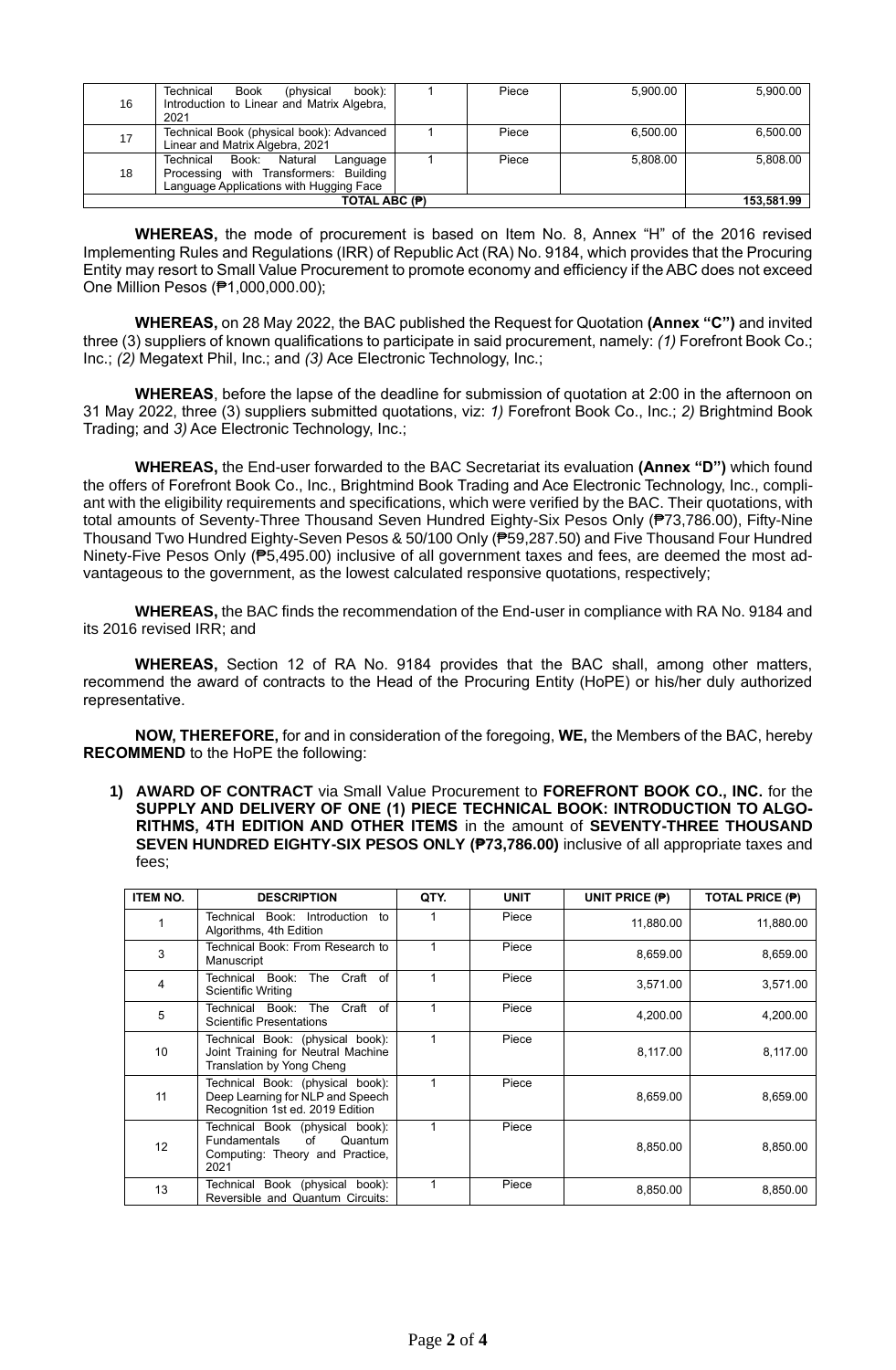| 16 | book):<br>Technical<br>Book<br>(physical<br>Introduction to Linear and Matrix Algebra,<br>2021                                 | Piece | 5,900.00 | 5,900.00 |
|----|--------------------------------------------------------------------------------------------------------------------------------|-------|----------|----------|
| 17 | Technical Book (physical book): Advanced<br>Linear and Matrix Algebra, 2021                                                    | Piece | 6.500.00 | 6,500.00 |
| 18 | Natural<br>Book:<br>Technical<br>Language<br>Processing with Transformers: Building<br>Language Applications with Hugging Face | Piece | 5.808.00 | 5,808.00 |
|    | 153,581.99                                                                                                                     |       |          |          |

**WHEREAS,** the mode of procurement is based on Item No. 8, Annex "H" of the 2016 revised Implementing Rules and Regulations (IRR) of Republic Act (RA) No. 9184, which provides that the Procuring Entity may resort to Small Value Procurement to promote economy and efficiency if the ABC does not exceed One Million Pesos (₱1,000,000.00);

**WHEREAS,** on 28 May 2022, the BAC published the Request for Quotation **(Annex "C")** and invited three (3) suppliers of known qualifications to participate in said procurement, namely: *(1)* Forefront Book Co.; Inc.; *(2)* Megatext Phil, Inc.; and *(3)* Ace Electronic Technology, Inc.;

**WHEREAS**, before the lapse of the deadline for submission of quotation at 2:00 in the afternoon on 31 May 2022, three (3) suppliers submitted quotations, viz: *1)* Forefront Book Co., Inc.; *2)* Brightmind Book Trading; and *3)* Ace Electronic Technology, Inc.;

**WHEREAS,** the End-user forwarded to the BAC Secretariat its evaluation **(Annex "D")** which found the offers of Forefront Book Co., Inc., Brightmind Book Trading and Ace Electronic Technology, Inc., compliant with the eligibility requirements and specifications, which were verified by the BAC. Their quotations, with total amounts of Seventy-Three Thousand Seven Hundred Eighty-Six Pesos Only (₱73,786.00), Fifty-Nine Thousand Two Hundred Eighty-Seven Pesos & 50/100 Only (₱59,287.50) and Five Thousand Four Hundred Ninety-Five Pesos Only (₱5,495.00) inclusive of all government taxes and fees, are deemed the most advantageous to the government, as the lowest calculated responsive quotations, respectively;

**WHEREAS,** the BAC finds the recommendation of the End-user in compliance with RA No. 9184 and its 2016 revised IRR; and

**WHEREAS,** Section 12 of RA No. 9184 provides that the BAC shall, among other matters, recommend the award of contracts to the Head of the Procuring Entity (HoPE) or his/her duly authorized representative.

**NOW, THEREFORE,** for and in consideration of the foregoing, **WE,** the Members of the BAC, hereby **RECOMMEND** to the HoPE the following:

**1) AWARD OF CONTRACT** via Small Value Procurement to **FOREFRONT BOOK CO., INC.** for the **SUPPLY AND DELIVERY OF ONE (1) PIECE TECHNICAL BOOK: INTRODUCTION TO ALGO-RITHMS, 4TH EDITION AND OTHER ITEMS** in the amount of **SEVENTY-THREE THOUSAND SEVEN HUNDRED EIGHTY-SIX PESOS ONLY (₱73,786.00)** inclusive of all appropriate taxes and fees;

| <b>ITEM NO.</b> | <b>DESCRIPTION</b>                                                                                                 | QTY. | <b>UNIT</b> | UNIT PRICE (P) | <b>TOTAL PRICE (P)</b> |
|-----------------|--------------------------------------------------------------------------------------------------------------------|------|-------------|----------------|------------------------|
|                 | Book: Introduction<br>Technical<br>to<br>Algorithms, 4th Edition                                                   |      | Piece       | 11,880.00      | 11,880.00              |
| 3               | Technical Book: From Research to<br>Manuscript                                                                     |      | Piece       | 8,659.00       | 8,659.00               |
| 4               | The Craft of<br>Technical Book:<br>Scientific Writing                                                              |      | Piece       | 3,571.00       | 3,571.00               |
| 5               | Craft of<br>Technical Book:<br>The<br><b>Scientific Presentations</b>                                              |      | Piece       | 4,200.00       | 4,200.00               |
| 10              | Technical Book: (physical book):<br>Joint Training for Neutral Machine<br>Translation by Yong Cheng                |      | Piece       | 8,117.00       | 8,117.00               |
| 11              | Technical Book: (physical book):<br>Deep Learning for NLP and Speech<br>Recognition 1st ed. 2019 Edition           |      | Piece       | 8,659.00       | 8,659.00               |
| 12              | Technical Book (physical book):<br>of<br>Quantum<br><b>Fundamentals</b><br>Computing: Theory and Practice,<br>2021 |      | Piece       | 8,850.00       | 8,850.00               |
| 13              | Technical Book (physical book):<br>Reversible and Quantum Circuits:                                                |      | Piece       | 8,850.00       | 8,850.00               |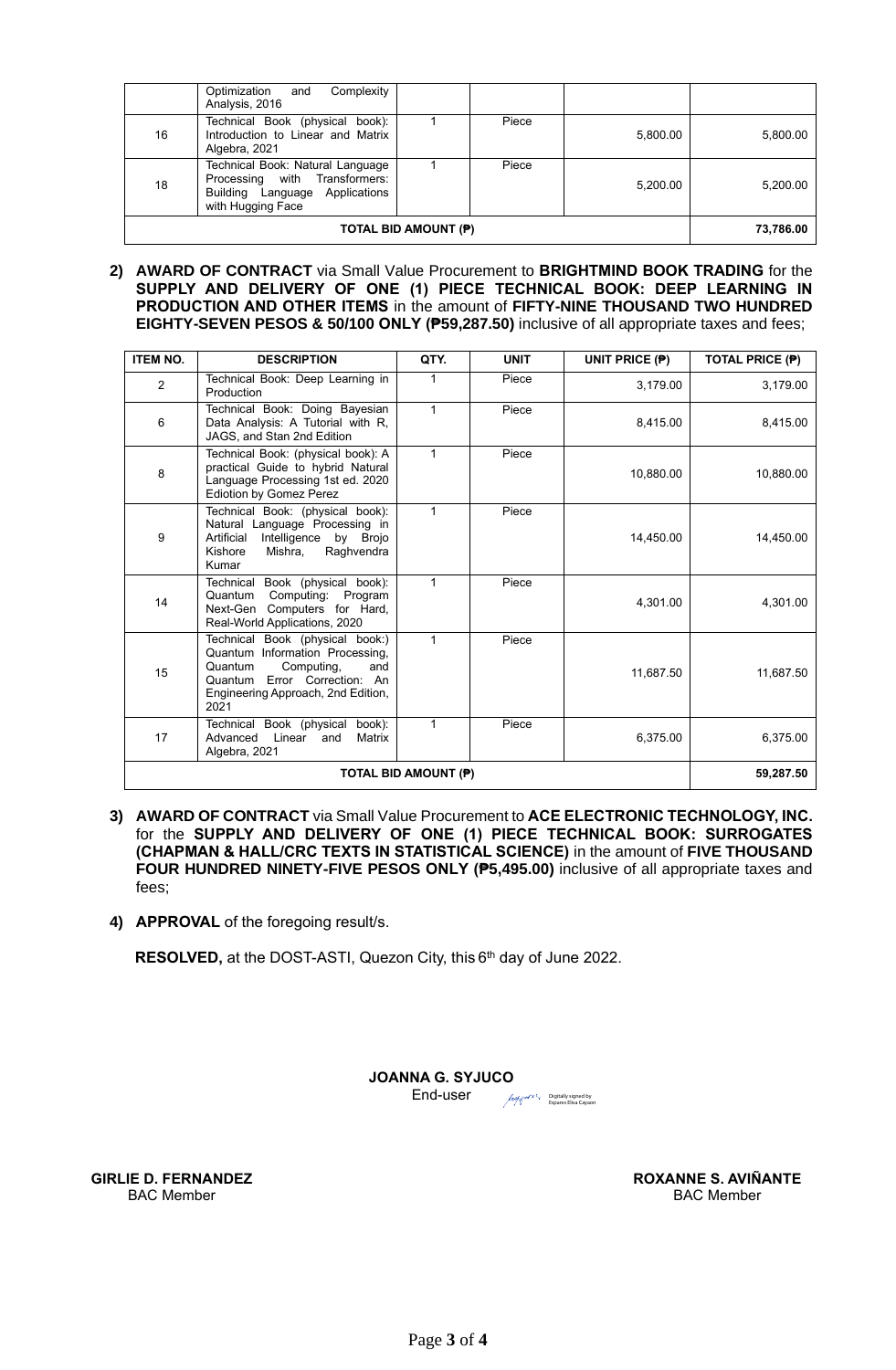|    | Complexity<br>Optimization<br>and<br>Analysis, 2016                                                                      |       |          |          |
|----|--------------------------------------------------------------------------------------------------------------------------|-------|----------|----------|
| 16 | Technical Book (physical book):<br>Introduction to Linear and Matrix<br>Algebra, 2021                                    | Piece | 5,800.00 | 5,800.00 |
| 18 | Technical Book: Natural Language<br>Processing with Transformers:<br>Building Language Applications<br>with Hugging Face | Piece | 5,200.00 | 5,200.00 |
|    | 73,786.00                                                                                                                |       |          |          |

**2) AWARD OF CONTRACT** via Small Value Procurement to **BRIGHTMIND BOOK TRADING** for the **SUPPLY AND DELIVERY OF ONE (1) PIECE TECHNICAL BOOK: DEEP LEARNING IN PRODUCTION AND OTHER ITEMS** in the amount of **FIFTY-NINE THOUSAND TWO HUNDRED EIGHTY-SEVEN PESOS & 50/100 ONLY (₱59,287.50)** inclusive of all appropriate taxes and fees;

| <b>ITEM NO.</b> | <b>DESCRIPTION</b>                                                                                                                                                               | QTY.         | <b>UNIT</b> | UNIT PRICE (P) | <b>TOTAL PRICE (P)</b> |
|-----------------|----------------------------------------------------------------------------------------------------------------------------------------------------------------------------------|--------------|-------------|----------------|------------------------|
| $\overline{2}$  | Technical Book: Deep Learning in<br>Production                                                                                                                                   |              | Piece       | 3.179.00       | 3,179.00               |
| 6               | Technical Book: Doing Bayesian<br>Data Analysis: A Tutorial with R,<br>JAGS, and Stan 2nd Edition                                                                                | 1            | Piece       | 8,415.00       | 8,415.00               |
| 8               | Technical Book: (physical book): A<br>practical Guide to hybrid Natural<br>Language Processing 1st ed. 2020<br><b>Ediotion by Gomez Perez</b>                                    | 1            | Piece       | 10,880.00      | 10,880.00              |
| 9               | Technical Book: (physical book):<br>Natural Language Processing in<br>Artificial<br>Intelligence<br>by Brojo<br>Raghvendra<br>Kishore<br>Mishra,<br>Kumar                        | 1            | Piece       | 14.450.00      | 14,450.00              |
| 14              | Technical Book (physical book):<br>Quantum<br>Computing:<br>Program<br>Next-Gen Computers for Hard,<br>Real-World Applications, 2020                                             | 1            | Piece       | 4,301.00       | 4,301.00               |
| 15              | Technical Book (physical book:)<br>Quantum Information Processing,<br>Computing,<br>Quantum<br>and<br>Quantum Error Correction: An<br>Engineering Approach, 2nd Edition,<br>2021 | $\mathbf{1}$ | Piece       | 11,687.50      | 11,687.50              |
| 17              | Technical Book (physical book):<br>Linear<br>Advanced<br>Matrix<br>and<br>Algebra, 2021                                                                                          | 1            | Piece       | 6,375.00       | 6,375.00               |
|                 | 59,287.50                                                                                                                                                                        |              |             |                |                        |

- **3) AWARD OF CONTRACT** via Small Value Procurement to **ACE ELECTRONIC TECHNOLOGY, INC.** for the **SUPPLY AND DELIVERY OF ONE (1) PIECE TECHNICAL BOOK: SURROGATES (CHAPMAN & HALL/CRC TEXTS IN STATISTICAL SCIENCE)** in the amount of **FIVE THOUSAND FOUR HUNDRED NINETY-FIVE PESOS ONLY (₱5,495.00)** inclusive of all appropriate taxes and fees;
- **4) APPROVAL** of the foregoing result/s.

RESOLVED, at the DOST-ASTI, Quezon City, this 6<sup>th</sup> day of June 2022.

**JOANNA G. SYJUCO**<sup>+08'00'</sup> Digitally signed by Syjuco Joanna Gonzales Date: 2022.06.07

Digitally signed by Espares Elisa Cayaon

End-user

Digitally signed KN Aminant by Aviñante Roxanne Sagun

**ROXANNE S. AVIÑANTE** BAC Member

**GIRLIE D. FERNANDEZ** BAC Member